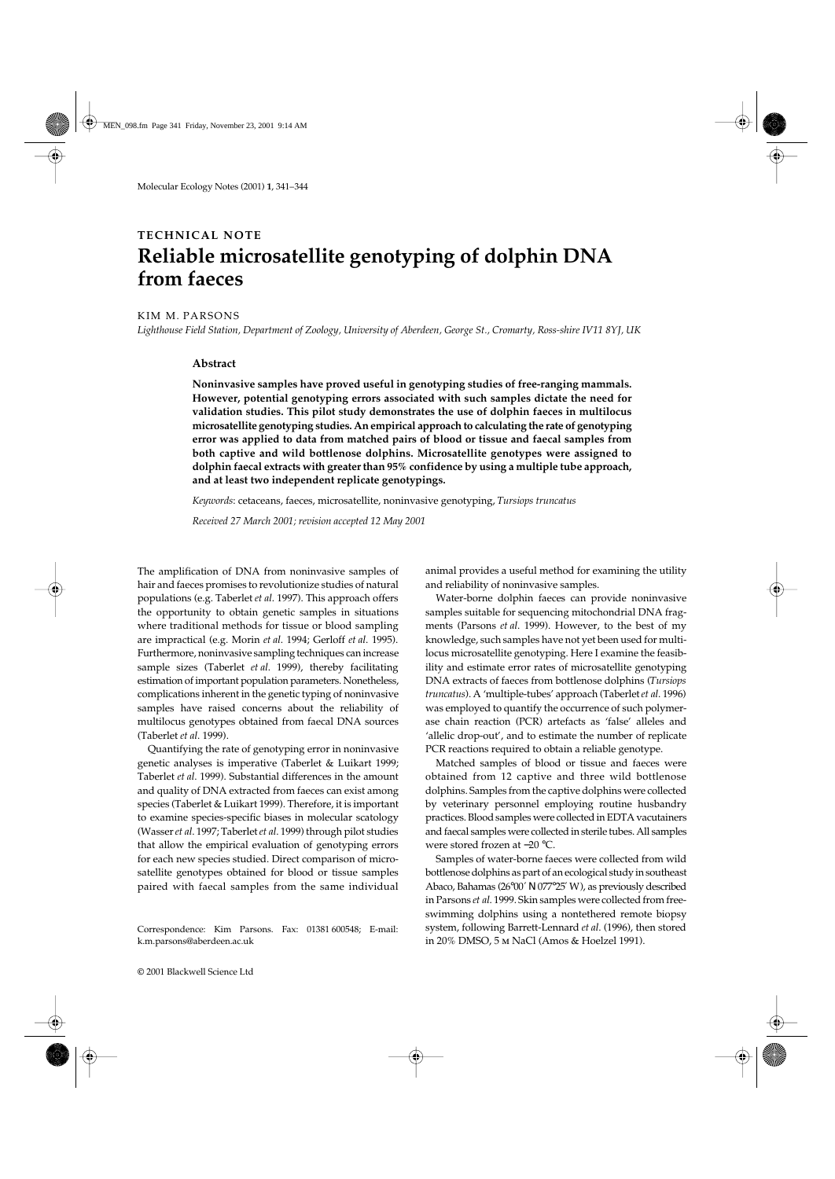# **TECHNICAL NOTE Reliable microsatellite genotyping of dolphin DNA from faeces**

### KIM M. PARSONS

*Lighthouse Field Station, Department of Zoology, University of Aberdeen, George St., Cromarty, Ross-shire IV11 8YJ, UK*

## **Abstract**

**Noninvasive samples have proved useful in genotyping studies of free-ranging mammals. However, potential genotyping errors associated with such samples dictate the need for validation studies. This pilot study demonstrates the use of dolphin faeces in multilocus microsatellite genotyping studies. An empirical approach to calculating the rate of genotyping error was applied to data from matched pairs of blood or tissue and faecal samples from both captive and wild bottlenose dolphins. Microsatellite genotypes were assigned to dolphin faecal extracts with greater than 95% confidence by using a multiple tube approach, and at least two independent replicate genotypings.**

*Keywords*: cetaceans, faeces, microsatellite, noninvasive genotyping, *Tursiops truncatus*

*Received 27 March 2001; revision accepted 12 May 2001*

The amplification of DNA from noninvasive samples of hair and faeces promises to revolutionize studies of natural populations (e.g. Taberlet *et al*. 1997). This approach offers the opportunity to obtain genetic samples in situations where traditional methods for tissue or blood sampling are impractical (e.g. Morin *et al*. 1994; Gerloff *et al*. 1995). Furthermore, noninvasive sampling techniques can increase sample sizes (Taberlet *et al*. 1999), thereby facilitating estimation of important population parameters. Nonetheless, complications inherent in the genetic typing of noninvasive samples have raised concerns about the reliability of multilocus genotypes obtained from faecal DNA sources (Taberlet *et al*. 1999).

Quantifying the rate of genotyping error in noninvasive genetic analyses is imperative (Taberlet & Luikart 1999; Taberlet *et al*. 1999). Substantial differences in the amount and quality of DNA extracted from faeces can exist among species (Taberlet & Luikart 1999). Therefore, it is important to examine species-specific biases in molecular scatology (Wasser *et al*. 1997; Taberlet *et al*. 1999) through pilot studies that allow the empirical evaluation of genotyping errors for each new species studied. Direct comparison of microsatellite genotypes obtained for blood or tissue samples paired with faecal samples from the same individual

Correspondence: Kim Parsons. Fax: 01381 600548; E-mail: k.m.parsons@aberdeen.ac.uk

animal provides a useful method for examining the utility and reliability of noninvasive samples.

Water-borne dolphin faeces can provide noninvasive samples suitable for sequencing mitochondrial DNA fragments (Parsons *et al*. 1999). However, to the best of my knowledge, such samples have not yet been used for multilocus microsatellite genotyping. Here I examine the feasibility and estimate error rates of microsatellite genotyping DNA extracts of faeces from bottlenose dolphins (*Tursiops truncatus*). A 'multiple-tubes' approach (Taberlet *et al*. 1996) was employed to quantify the occurrence of such polymerase chain reaction (PCR) artefacts as 'false' alleles and 'allelic drop-out', and to estimate the number of replicate PCR reactions required to obtain a reliable genotype.

Matched samples of blood or tissue and faeces were obtained from 12 captive and three wild bottlenose dolphins. Samples from the captive dolphins were collected by veterinary personnel employing routine husbandry practices. Blood samples were collected in EDTA vacutainers and faecal samples were collected in sterile tubes. All samples were stored frozen at −20 °C.

Samples of water-borne faeces were collected from wild bottlenose dolphins as part of an ecological study in southeast Abaco, Bahamas (26°00′ Ν 077°25′ W), as previously described in Parsons *et al*. 1999. Skin samples were collected from freeswimming dolphins using a nontethered remote biopsy system, following Barrett-Lennard *et al*. (1996), then stored in 20% DMSO, 5 m NaCl (Amos & Hoelzel 1991).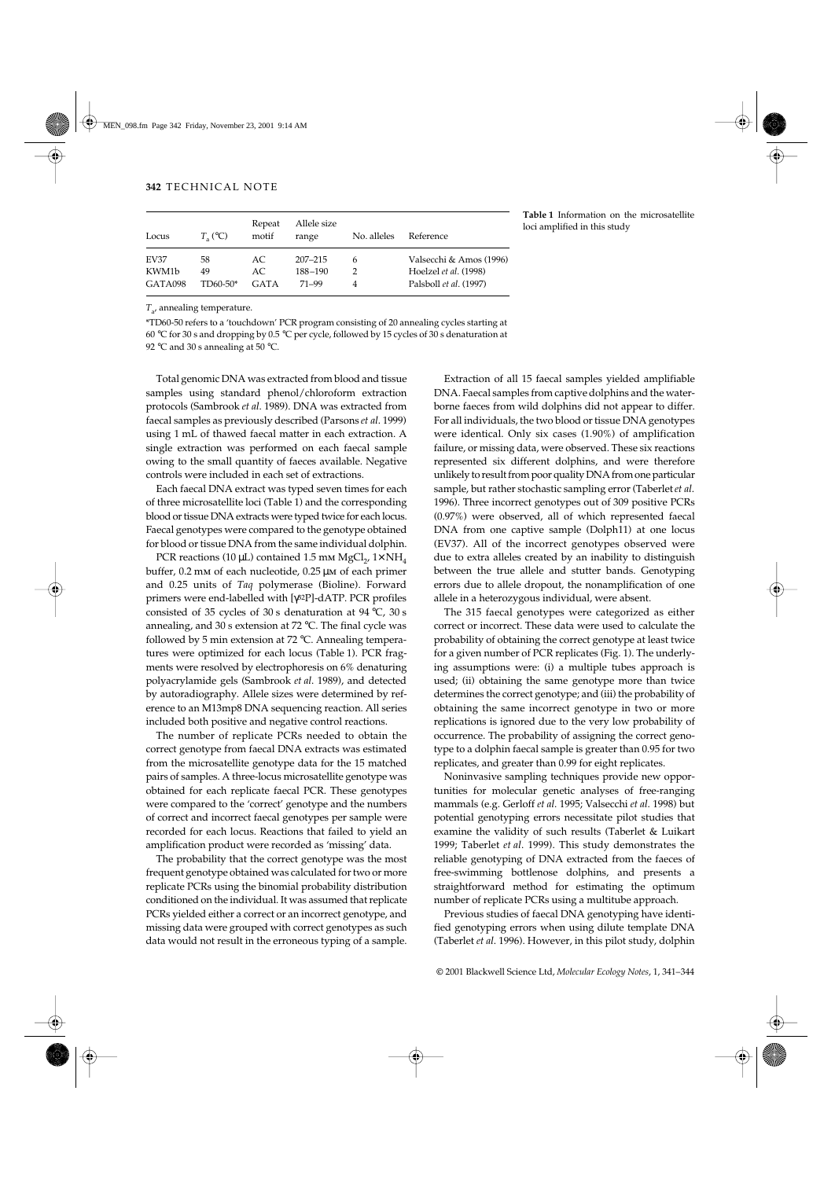| Locus       | $T_{\circ}$ (°C) | Repeat<br>motif | Allele size<br>range | No. alleles | Reference               |
|-------------|------------------|-----------------|----------------------|-------------|-------------------------|
| <b>EV37</b> | 58               | AC.             | $207 - 215$          | 6           | Valsecchi & Amos (1996) |
| KWM1b       | 49               | AC.             | 188-190              |             | Hoelzel et al. (1998)   |
| GATA098     | TD60-50*         | <b>GATA</b>     | $71 - 99$            |             | Palsboll et al. (1997)  |

**Table 1** Information on the microsatellite loci amplified in this study

*T*a, annealing temperature.

\*TD60-50 refers to a 'touchdown' PCR program consisting of 20 annealing cycles starting at 60 °C for 30 s and dropping by 0.5 °C per cycle, followed by 15 cycles of 30 s denaturation at

92 °C and 30 s annealing at 50 °C.

Total genomic DNA was extracted from blood and tissue samples using standard phenol/chloroform extraction protocols (Sambrook *et al*. 1989). DNA was extracted from faecal samples as previously described (Parsons *et al*. 1999) using 1 mL of thawed faecal matter in each extraction. A single extraction was performed on each faecal sample owing to the small quantity of faeces available. Negative controls were included in each set of extractions.

Each faecal DNA extract was typed seven times for each of three microsatellite loci (Table 1) and the corresponding blood or tissue DNA extracts were typed twice for each locus. Faecal genotypes were compared to the genotype obtained for blood or tissue DNA from the same individual dolphin.

PCR reactions (10 µL) contained 1.5 mm MgCl<sub>2</sub>, 1× NH<sub>4</sub> buffer, 0.2 mm of each nucleotide, 0.25 µm of each primer and 0.25 units of *Taq* polymerase (Bioline). Forward primers were end-labelled with [γ32P]-dATP. PCR profiles consisted of 35 cycles of 30 s denaturation at 94 °C, 30 s annealing, and 30 s extension at 72 °C. The final cycle was followed by 5 min extension at 72 °C. Annealing temperatures were optimized for each locus (Table 1). PCR fragments were resolved by electrophoresis on 6% denaturing polyacrylamide gels (Sambrook *et al*. 1989), and detected by autoradiography. Allele sizes were determined by reference to an M13mp8 DNA sequencing reaction. All series included both positive and negative control reactions.

The number of replicate PCRs needed to obtain the correct genotype from faecal DNA extracts was estimated from the microsatellite genotype data for the 15 matched pairs of samples. A three-locus microsatellite genotype was obtained for each replicate faecal PCR. These genotypes were compared to the 'correct' genotype and the numbers of correct and incorrect faecal genotypes per sample were recorded for each locus. Reactions that failed to yield an amplification product were recorded as 'missing' data.

The probability that the correct genotype was the most frequent genotype obtained was calculated for two or more replicate PCRs using the binomial probability distribution conditioned on the individual. It was assumed that replicate PCRs yielded either a correct or an incorrect genotype, and missing data were grouped with correct genotypes as such data would not result in the erroneous typing of a sample.

Extraction of all 15 faecal samples yielded amplifiable DNA. Faecal samples from captive dolphins and the waterborne faeces from wild dolphins did not appear to differ. For all individuals, the two blood or tissue DNA genotypes were identical. Only six cases (1.90%) of amplification failure, or missing data, were observed. These six reactions represented six different dolphins, and were therefore unlikely to result from poor quality DNA from one particular sample, but rather stochastic sampling error (Taberlet *et al*. 1996). Three incorrect genotypes out of 309 positive PCRs (0.97%) were observed, all of which represented faecal DNA from one captive sample (Dolph11) at one locus (EV37). All of the incorrect genotypes observed were due to extra alleles created by an inability to distinguish between the true allele and stutter bands. Genotyping errors due to allele dropout, the nonamplification of one allele in a heterozygous individual, were absent.

The 315 faecal genotypes were categorized as either correct or incorrect. These data were used to calculate the probability of obtaining the correct genotype at least twice for a given number of PCR replicates (Fig. 1). The underlying assumptions were: (i) a multiple tubes approach is used; (ii) obtaining the same genotype more than twice determines the correct genotype; and (iii) the probability of obtaining the same incorrect genotype in two or more replications is ignored due to the very low probability of occurrence. The probability of assigning the correct genotype to a dolphin faecal sample is greater than 0.95 for two replicates, and greater than 0.99 for eight replicates.

Noninvasive sampling techniques provide new opportunities for molecular genetic analyses of free-ranging mammals (e.g. Gerloff *et al*. 1995; Valsecchi *et al*. 1998) but potential genotyping errors necessitate pilot studies that examine the validity of such results (Taberlet & Luikart 1999; Taberlet *et al*. 1999). This study demonstrates the reliable genotyping of DNA extracted from the faeces of free-swimming bottlenose dolphins, and presents a straightforward method for estimating the optimum number of replicate PCRs using a multitube approach.

Previous studies of faecal DNA genotyping have identified genotyping errors when using dilute template DNA (Taberlet *et al*. 1996). However, in this pilot study, dolphin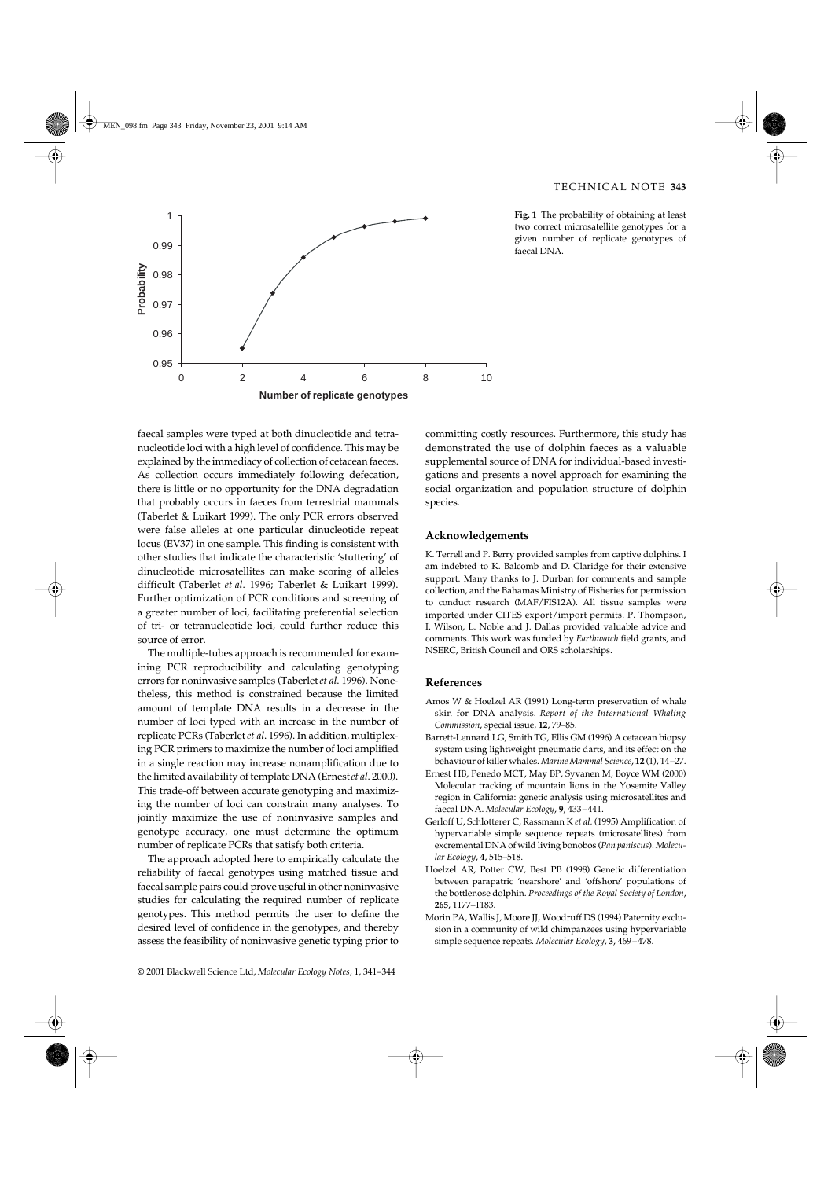

**Fig. 1** The probability of obtaining at least two correct microsatellite genotypes for a given number of replicate genotypes of faecal DNA.

faecal samples were typed at both dinucleotide and tetranucleotide loci with a high level of confidence. This may be explained by the immediacy of collection of cetacean faeces. As collection occurs immediately following defecation, there is little or no opportunity for the DNA degradation that probably occurs in faeces from terrestrial mammals (Taberlet & Luikart 1999). The only PCR errors observed were false alleles at one particular dinucleotide repeat locus (EV37) in one sample. This finding is consistent with other studies that indicate the characteristic 'stuttering' of dinucleotide microsatellites can make scoring of alleles difficult (Taberlet *et al*. 1996; Taberlet & Luikart 1999). Further optimization of PCR conditions and screening of a greater number of loci, facilitating preferential selection of tri- or tetranucleotide loci, could further reduce this source of error.

The multiple-tubes approach is recommended for examining PCR reproducibility and calculating genotyping errors for noninvasive samples (Taberlet *et al*. 1996). Nonetheless, this method is constrained because the limited amount of template DNA results in a decrease in the number of loci typed with an increase in the number of replicate PCRs (Taberlet *et al*. 1996). In addition, multiplexing PCR primers to maximize the number of loci amplified in a single reaction may increase nonamplification due to the limited availability of template DNA (Ernest *et al*. 2000). This trade-off between accurate genotyping and maximizing the number of loci can constrain many analyses. To jointly maximize the use of noninvasive samples and genotype accuracy, one must determine the optimum number of replicate PCRs that satisfy both criteria.

The approach adopted here to empirically calculate the reliability of faecal genotypes using matched tissue and faecal sample pairs could prove useful in other noninvasive studies for calculating the required number of replicate genotypes. This method permits the user to define the desired level of confidence in the genotypes, and thereby assess the feasibility of noninvasive genetic typing prior to committing costly resources. Furthermore, this study has demonstrated the use of dolphin faeces as a valuable supplemental source of DNA for individual-based investigations and presents a novel approach for examining the social organization and population structure of dolphin species.

#### **Acknowledgements**

K. Terrell and P. Berry provided samples from captive dolphins. I am indebted to K. Balcomb and D. Claridge for their extensive support. Many thanks to J. Durban for comments and sample collection, and the Bahamas Ministry of Fisheries for permission to conduct research (MAF/FIS12A). All tissue samples were imported under CITES export/import permits. P. Thompson, I. Wilson, L. Noble and J. Dallas provided valuable advice and comments. This work was funded by *Earthwatch* field grants, and NSERC, British Council and ORS scholarships.

## **References**

- Amos W & Hoelzel AR (1991) Long-term preservation of whale skin for DNA analysis. *Report of the International Whaling Commission*, special issue, **12**, 79–85.
- Barrett-Lennard LG, Smith TG, Ellis GM (1996) A cetacean biopsy system using lightweight pneumatic darts, and its effect on the behaviour of killer whales. *Marine Mammal Science*, **12** (1), 14–27.
- Ernest HB, Penedo MCT, May BP, Syvanen M, Boyce WM (2000) Molecular tracking of mountain lions in the Yosemite Valley region in California: genetic analysis using microsatellites and faecal DNA. *Molecular Ecology*, **9**, 433–441.
- Gerloff U, Schlotterer C, Rassmann K *et al.* (1995) Amplification of hypervariable simple sequence repeats (microsatellites) from excremental DNA of wild living bonobos (*Pan paniscus*). *Molecular Ecology*, **4**, 515–518.
- Hoelzel AR, Potter CW, Best PB (1998) Genetic differentiation between parapatric 'nearshore' and 'offshore' populations of the bottlenose dolphin. *Proceedings of the Royal Society of London*, **265**, 1177–1183.
- Morin PA, Wallis J, Moore JJ, Woodruff DS (1994) Paternity exclusion in a community of wild chimpanzees using hypervariable simple sequence repeats. *Molecular Ecology*, **3**, 469–478.